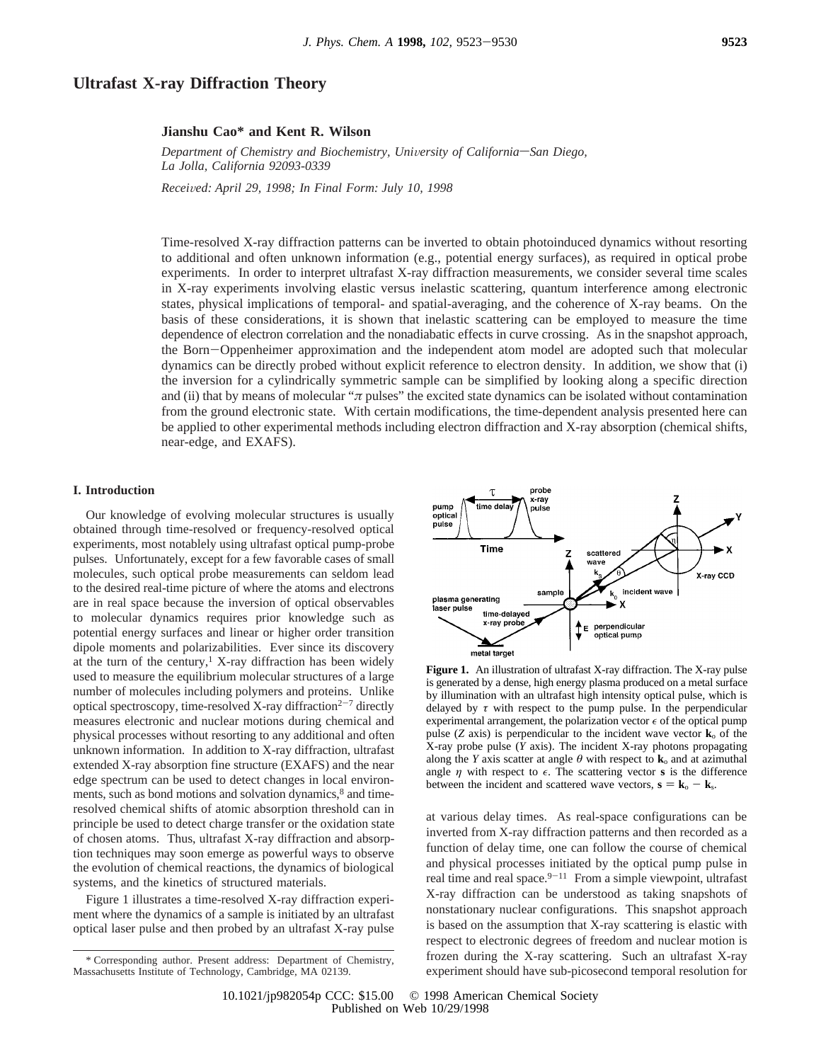# **Ultrafast X-ray Diffraction Theory**

# **Jianshu Cao\* and Kent R. Wilson**

*Department of Chemistry and Biochemistry, University of California–San Diego, La Jolla, California 92093-0339*

*Recei*V*ed: April 29, 1998; In Final Form: July 10, 1998*

Time-resolved X-ray diffraction patterns can be inverted to obtain photoinduced dynamics without resorting to additional and often unknown information (e.g., potential energy surfaces), as required in optical probe experiments. In order to interpret ultrafast X-ray diffraction measurements, we consider several time scales in X-ray experiments involving elastic versus inelastic scattering, quantum interference among electronic states, physical implications of temporal- and spatial-averaging, and the coherence of X-ray beams. On the basis of these considerations, it is shown that inelastic scattering can be employed to measure the time dependence of electron correlation and the nonadiabatic effects in curve crossing. As in the snapshot approach, the Born-Oppenheimer approximation and the independent atom model are adopted such that molecular dynamics can be directly probed without explicit reference to electron density. In addition, we show that (i) the inversion for a cylindrically symmetric sample can be simplified by looking along a specific direction and (ii) that by means of molecular " $\pi$  pulses" the excited state dynamics can be isolated without contamination from the ground electronic state. With certain modifications, the time-dependent analysis presented here can be applied to other experimental methods including electron diffraction and X-ray absorption (chemical shifts, near-edge, and EXAFS).

#### **I. Introduction**

Our knowledge of evolving molecular structures is usually obtained through time-resolved or frequency-resolved optical experiments, most notablely using ultrafast optical pump-probe pulses. Unfortunately, except for a few favorable cases of small molecules, such optical probe measurements can seldom lead to the desired real-time picture of where the atoms and electrons are in real space because the inversion of optical observables to molecular dynamics requires prior knowledge such as potential energy surfaces and linear or higher order transition dipole moments and polarizabilities. Ever since its discovery at the turn of the century,<sup>1</sup> X-ray diffraction has been widely used to measure the equilibrium molecular structures of a large number of molecules including polymers and proteins. Unlike optical spectroscopy, time-resolved X-ray diffraction<sup>2-7</sup> directly measures electronic and nuclear motions during chemical and physical processes without resorting to any additional and often unknown information. In addition to X-ray diffraction, ultrafast extended X-ray absorption fine structure (EXAFS) and the near edge spectrum can be used to detect changes in local environments, such as bond motions and solvation dynamics,<sup>8</sup> and timeresolved chemical shifts of atomic absorption threshold can in principle be used to detect charge transfer or the oxidation state of chosen atoms. Thus, ultrafast X-ray diffraction and absorption techniques may soon emerge as powerful ways to observe the evolution of chemical reactions, the dynamics of biological systems, and the kinetics of structured materials.

Figure 1 illustrates a time-resolved X-ray diffraction experiment where the dynamics of a sample is initiated by an ultrafast optical laser pulse and then probed by an ultrafast X-ray pulse



**Figure 1.** An illustration of ultrafast X-ray diffraction. The X-ray pulse is generated by a dense, high energy plasma produced on a metal surface by illumination with an ultrafast high intensity optical pulse, which is delayed by  $\tau$  with respect to the pump pulse. In the perpendicular experimental arrangement, the polarization vector  $\epsilon$  of the optical pump pulse (*Z* axis) is perpendicular to the incident wave vector  $\mathbf{k}_0$  of the X-ray probe pulse (*Y* axis). The incident X-ray photons propagating along the *Y* axis scatter at angle  $\theta$  with respect to  $\mathbf{k}_0$  and at azimuthal angle  $\eta$  with respect to  $\epsilon$ . The scattering vector **s** is the difference between the incident and scattered wave vectors,  $\mathbf{s} = \mathbf{k}_{o} - \mathbf{k}_{s}$ .

at various delay times. As real-space configurations can be inverted from X-ray diffraction patterns and then recorded as a function of delay time, one can follow the course of chemical and physical processes initiated by the optical pump pulse in real time and real space. $9-11$  From a simple viewpoint, ultrafast X-ray diffraction can be understood as taking snapshots of nonstationary nuclear configurations. This snapshot approach is based on the assumption that X-ray scattering is elastic with respect to electronic degrees of freedom and nuclear motion is frozen during the X-ray scattering. Such an ultrafast X-ray experiment should have sub-picosecond temporal resolution for

<sup>\*</sup> Corresponding author. Present address: Department of Chemistry, Massachusetts Institute of Technology, Cambridge, MA 02139.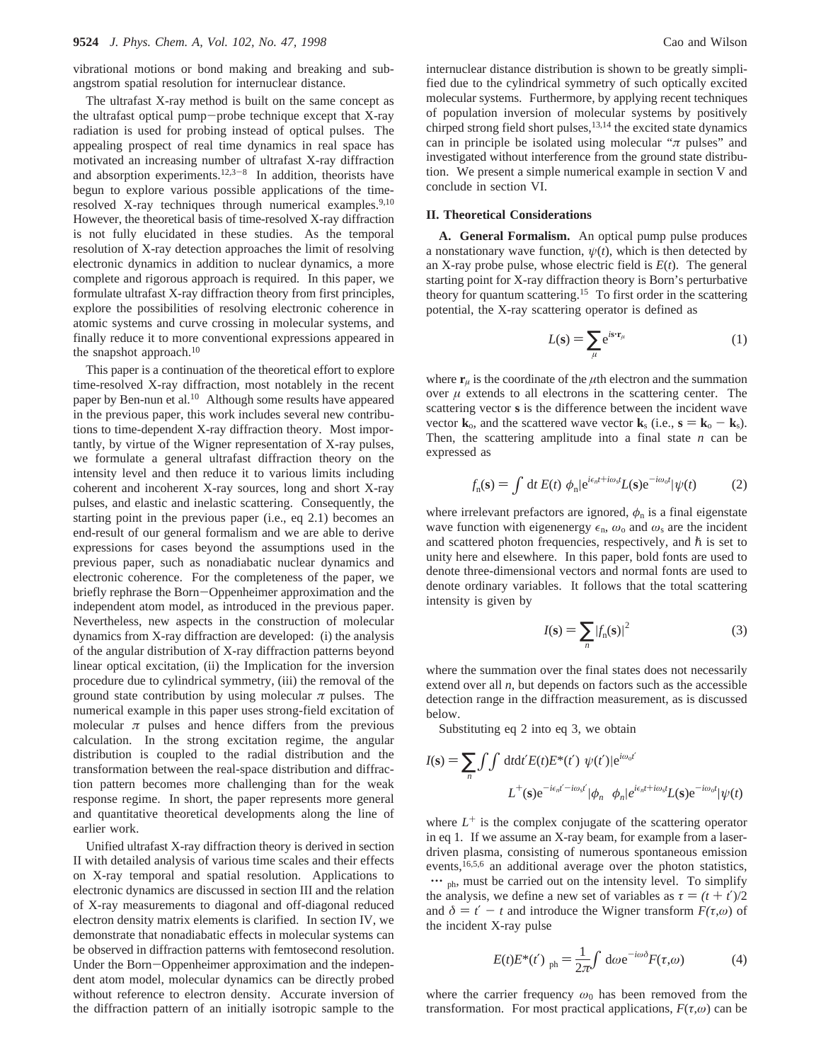vibrational motions or bond making and breaking and subangstrom spatial resolution for internuclear distance.

The ultrafast X-ray method is built on the same concept as the ultrafast optical pump-probe technique except that X-ray radiation is used for probing instead of optical pulses. The appealing prospect of real time dynamics in real space has motivated an increasing number of ultrafast X-ray diffraction and absorption experiments.<sup>12,3-8</sup> In addition, theorists have begun to explore various possible applications of the timeresolved X-ray techniques through numerical examples.<sup>9,10</sup> However, the theoretical basis of time-resolved X-ray diffraction is not fully elucidated in these studies. As the temporal resolution of X-ray detection approaches the limit of resolving electronic dynamics in addition to nuclear dynamics, a more complete and rigorous approach is required. In this paper, we formulate ultrafast X-ray diffraction theory from first principles, explore the possibilities of resolving electronic coherence in atomic systems and curve crossing in molecular systems, and finally reduce it to more conventional expressions appeared in the snapshot approach.<sup>10</sup>

This paper is a continuation of the theoretical effort to explore time-resolved X-ray diffraction, most notablely in the recent paper by Ben-nun et al.<sup>10</sup> Although some results have appeared in the previous paper, this work includes several new contributions to time-dependent X-ray diffraction theory. Most importantly, by virtue of the Wigner representation of X-ray pulses, we formulate a general ultrafast diffraction theory on the intensity level and then reduce it to various limits including coherent and incoherent X-ray sources, long and short X-ray pulses, and elastic and inelastic scattering. Consequently, the starting point in the previous paper (i.e., eq 2.1) becomes an end-result of our general formalism and we are able to derive expressions for cases beyond the assumptions used in the previous paper, such as nonadiabatic nuclear dynamics and electronic coherence. For the completeness of the paper, we briefly rephrase the Born-Oppenheimer approximation and the independent atom model, as introduced in the previous paper. Nevertheless, new aspects in the construction of molecular dynamics from X-ray diffraction are developed: (i) the analysis of the angular distribution of X-ray diffraction patterns beyond linear optical excitation, (ii) the Implication for the inversion procedure due to cylindrical symmetry, (iii) the removal of the ground state contribution by using molecular  $\pi$  pulses. The numerical example in this paper uses strong-field excitation of molecular  $\pi$  pulses and hence differs from the previous calculation. In the strong excitation regime, the angular distribution is coupled to the radial distribution and the transformation between the real-space distribution and diffraction pattern becomes more challenging than for the weak response regime. In short, the paper represents more general and quantitative theoretical developments along the line of earlier work.

Unified ultrafast X-ray diffraction theory is derived in section II with detailed analysis of various time scales and their effects on X-ray temporal and spatial resolution. Applications to electronic dynamics are discussed in section III and the relation of X-ray measurements to diagonal and off-diagonal reduced electron density matrix elements is clarified. In section IV, we demonstrate that nonadiabatic effects in molecular systems can be observed in diffraction patterns with femtosecond resolution. Under the Born-Oppenheimer approximation and the independent atom model, molecular dynamics can be directly probed without reference to electron density. Accurate inversion of the diffraction pattern of an initially isotropic sample to the

internuclear distance distribution is shown to be greatly simplified due to the cylindrical symmetry of such optically excited molecular systems. Furthermore, by applying recent techniques of population inversion of molecular systems by positively chirped strong field short pulses, $13,14$  the excited state dynamics can in principle be isolated using molecular " $\pi$  pulses" and investigated without interference from the ground state distribution. We present a simple numerical example in section V and conclude in section VI.

#### **II. Theoretical Considerations**

**A. General Formalism.** An optical pump pulse produces a nonstationary wave function,  $\psi(t)$ , which is then detected by an X-ray probe pulse, whose electric field is *E*(*t*). The general starting point for X-ray diffraction theory is Born's perturbative theory for quantum scattering.15 To first order in the scattering potential, the X-ray scattering operator is defined as

$$
L(s) = \sum_{\mu} e^{is \cdot \mathbf{r}_{\mu}} \tag{1}
$$

where  $\mathbf{r}_\mu$  is the coordinate of the  $\mu$ th electron and the summation over  $\mu$  extends to all electrons in the scattering center. The scattering vector **s** is the difference between the incident wave vector  $\mathbf{k}_0$ , and the scattered wave vector  $\mathbf{k}_s$  (i.e.,  $\mathbf{s} = \mathbf{k}_0 - \mathbf{k}_s$ ). Then, the scattering amplitude into a final state *n* can be expressed as

$$
f_{n}(\mathbf{s}) = \int \mathrm{d}t \, E(t) \langle \phi_{n} | e^{i\epsilon_{n}t + i\omega_{s}t} L(\mathbf{s}) e^{-i\omega_{o}t} | \psi(t) \rangle \tag{2}
$$

where irrelevant prefactors are ignored,  $\phi_n$  is a final eigenstate wave function with eigenenergy  $\epsilon_n$ ,  $\omega_0$  and  $\omega_s$  are the incident and scattered photon frequencies, respectively, and  $\hbar$  is set to unity here and elsewhere. In this paper, bold fonts are used to denote three-dimensional vectors and normal fonts are used to denote ordinary variables. It follows that the total scattering intensity is given by

$$
I(\mathbf{s}) = \sum_{n} |f_{n}(\mathbf{s})|^{2} \tag{3}
$$

where the summation over the final states does not necessarily extend over all *n*, but depends on factors such as the accessible detection range in the diffraction measurement, as is discussed below.

Substituting eq 2 into eq 3, we obtain

$$
I(\mathbf{s}) = \sum_{n} \int \int \mathrm{d}t \mathrm{d}t' E(t) E^*(t') \langle \psi(t') | e^{i\omega_0 t'}\rangle
$$

$$
L^+(\mathbf{s}) e^{-i\epsilon_n t' - i\omega_s t'} |\phi_n\rangle \langle \phi_n | e^{i\epsilon_n t + i\omega_s t} L(\mathbf{s}) e^{-i\omega_0 t} |\psi(t)\rangle
$$

where  $L^+$  is the complex conjugate of the scattering operator in eq 1. If we assume an X-ray beam, for example from a laserdriven plasma, consisting of numerous spontaneous emission events, $16,5,6$  an additional average over the photon statistics,  $\langle \cdots \rangle_{\text{ph}}$ , must be carried out on the intensity level. To simplify the analysis, we define a new set of variables as  $\tau = (t + t')/2$ and  $\delta = t' - t$  and introduce the Wigner transform  $F(\tau,\omega)$  of the incident X-ray pulse

$$
\langle E(t)E^*(t')\rangle_{\text{ph}} = \frac{1}{2\pi} \int \text{d}\omega \text{e}^{-i\omega \delta} F(\tau, \omega) \tag{4}
$$

where the carrier frequency  $\omega_0$  has been removed from the transformation. For most practical applications,  $F(\tau,\omega)$  can be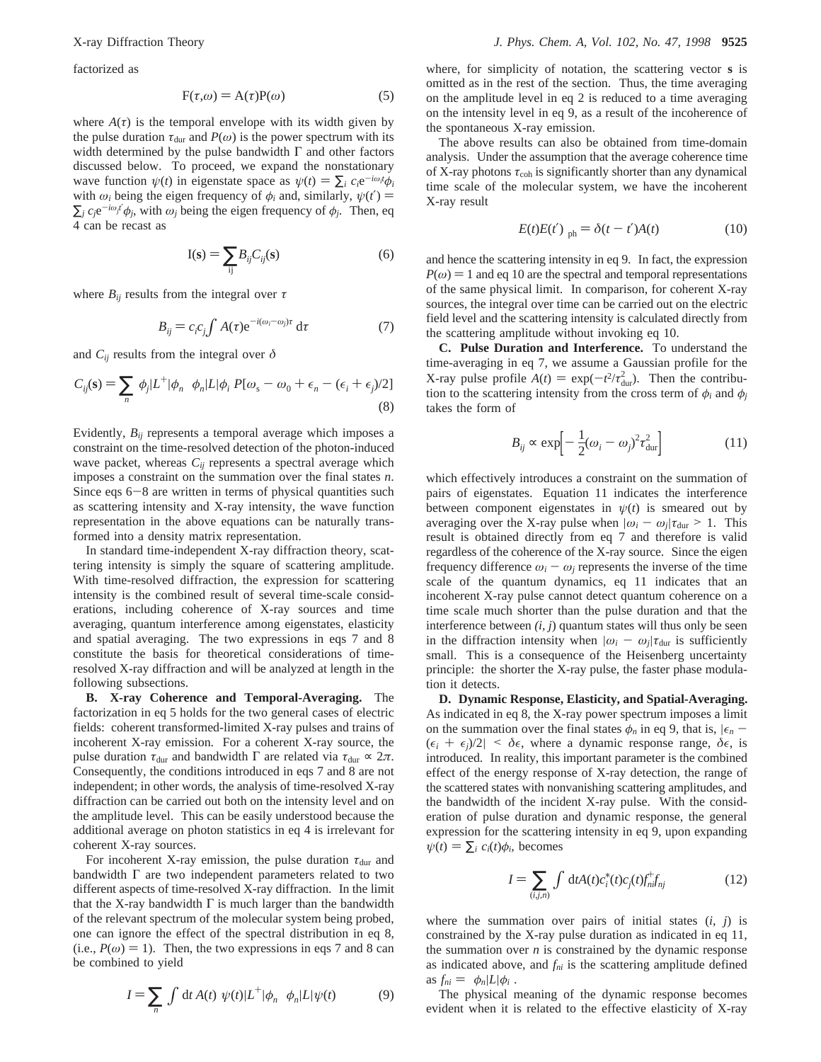factorized as

$$
F(\tau,\omega) = A(\tau)P(\omega)
$$
 (5)

where  $A(\tau)$  is the temporal envelope with its width given by the pulse duration  $\tau_{\text{dur}}$  and  $P(\omega)$  is the power spectrum with its width determined by the pulse bandwidth  $\Gamma$  and other factors discussed below. To proceed, we expand the nonstationary wave function  $\psi(t)$  in eigenstate space as  $\psi(t) = \sum_i c_i e^{-i\omega_i t} \phi_i$ <br>with  $\omega_i$  being the eigen frequency of  $\phi_i$  and similarly  $\psi(t') =$ with  $\omega_i$  being the eigen frequency of  $\phi_i$  and, similarly,  $\psi(t') =$  $\sum_j c_j e^{-i\omega_j t'} \phi_j$ , with  $\omega_j$  being the eigen frequency of  $\phi_j$ . Then, eq 4 can be recast as

$$
I(s) = \sum_{ij} B_{ij} C_{ij}(s) \tag{6}
$$

where  $B_{ij}$  results from the integral over  $\tau$ 

$$
B_{ij} = c_i c_j \int A(\tau) e^{-i(\omega_i - \omega_j)\tau} d\tau \tag{7}
$$

and  $C_{ij}$  results from the integral over  $\delta$ 

$$
C_{ij}(\mathbf{s}) = \sum_{n} \langle \phi_j | L^+ | \phi_n \rangle \langle \phi_n | L | \phi_i \rangle P[\omega_{\rm s} - \omega_0 + \epsilon_n - (\epsilon_i + \epsilon_j)/2]
$$
\n(8)

Evidently, *Bij* represents a temporal average which imposes a constraint on the time-resolved detection of the photon-induced wave packet, whereas  $C_{ij}$  represents a spectral average which imposes a constraint on the summation over the final states *n*. Since eqs  $6-8$  are written in terms of physical quantities such as scattering intensity and X-ray intensity, the wave function representation in the above equations can be naturally transformed into a density matrix representation.

In standard time-independent X-ray diffraction theory, scattering intensity is simply the square of scattering amplitude. With time-resolved diffraction, the expression for scattering intensity is the combined result of several time-scale considerations, including coherence of X-ray sources and time averaging, quantum interference among eigenstates, elasticity and spatial averaging. The two expressions in eqs 7 and 8 constitute the basis for theoretical considerations of timeresolved X-ray diffraction and will be analyzed at length in the following subsections.

**B. X-ray Coherence and Temporal-Averaging.** The factorization in eq 5 holds for the two general cases of electric fields: coherent transformed-limited X-ray pulses and trains of incoherent X-ray emission. For a coherent X-ray source, the pulse duration  $\tau_{dur}$  and bandwidth Γ are related via  $\tau_{dur} \propto 2\pi$ . Consequently, the conditions introduced in eqs 7 and 8 are not independent; in other words, the analysis of time-resolved X-ray diffraction can be carried out both on the intensity level and on the amplitude level. This can be easily understood because the additional average on photon statistics in eq 4 is irrelevant for coherent X-ray sources.

For incoherent X-ray emission, the pulse duration  $\tau_{dur}$  and bandwidth  $\Gamma$  are two independent parameters related to two different aspects of time-resolved X-ray diffraction. In the limit that the X-ray bandwidth  $\Gamma$  is much larger than the bandwidth of the relevant spectrum of the molecular system being probed, one can ignore the effect of the spectral distribution in eq 8, (i.e.,  $P(\omega) = 1$ ). Then, the two expressions in eqs 7 and 8 can be combined to yield

$$
I = \sum_{n} \int \mathrm{d}t \, A(t) \langle \psi(t) | L^{+} | \phi_{n} \rangle \langle \phi_{n} | L | \psi(t) \rangle \tag{9}
$$

where, for simplicity of notation, the scattering vector **s** is omitted as in the rest of the section. Thus, the time averaging on the amplitude level in eq 2 is reduced to a time averaging on the intensity level in eq 9, as a result of the incoherence of the spontaneous X-ray emission.

The above results can also be obtained from time-domain analysis. Under the assumption that the average coherence time of X-ray photons  $\tau_{\rm coh}$  is significantly shorter than any dynamical time scale of the molecular system, we have the incoherent X-ray result

$$
\langle E(t)E(t')\rangle_{\text{ph}} = \delta(t - t')A(t) \tag{10}
$$

and hence the scattering intensity in eq 9. In fact, the expression  $P(\omega) = 1$  and eq 10 are the spectral and temporal representations of the same physical limit. In comparison, for coherent X-ray sources, the integral over time can be carried out on the electric field level and the scattering intensity is calculated directly from the scattering amplitude without invoking eq 10.

**C. Pulse Duration and Interference.** To understand the time-averaging in eq 7, we assume a Gaussian profile for the X-ray pulse profile  $A(t) = \exp(-t^2/\tau_{\text{dur}}^2)$ . Then the contribu-<br>tion to the scattering intensity from the cross term of  $\phi_2$  and  $\phi_2$ . tion to the scattering intensity from the cross term of  $\phi_i$  and  $\phi_j$ takes the form of

$$
B_{ij} \propto \exp\left[-\frac{1}{2}(\omega_i - \omega_j)^2 \tau_{\text{dur}}^2\right] \tag{11}
$$

which effectively introduces a constraint on the summation of pairs of eigenstates. Equation 11 indicates the interference between component eigenstates in  $\psi(t)$  is smeared out by averaging over the X-ray pulse when  $|\omega_i - \omega_j| \tau_{dur} > 1$ . This result is obtained directly from eq 7 and therefore is valid regardless of the coherence of the X-ray source. Since the eigen frequency difference  $\omega_i - \omega_j$  represents the inverse of the time scale of the quantum dynamics, eq 11 indicates that an incoherent X-ray pulse cannot detect quantum coherence on a time scale much shorter than the pulse duration and that the interference between  $(i, j)$  quantum states will thus only be seen in the diffraction intensity when  $|\omega_i - \omega_j| \tau_{dur}$  is sufficiently small. This is a consequence of the Heisenberg uncertainty principle: the shorter the X-ray pulse, the faster phase modulation it detects.

**D. Dynamic Response, Elasticity, and Spatial-Averaging.** As indicated in eq 8, the X-ray power spectrum imposes a limit on the summation over the final states  $\phi_n$  in eq 9, that is,  $|\epsilon_n - \epsilon_n|$  $(\epsilon_i + \epsilon_j)/2$ | <  $\delta \epsilon$ , where a dynamic response range,  $\delta \epsilon$ , is introduced. In reality, this important parameter is the combined effect of the energy response of X-ray detection, the range of the scattered states with nonvanishing scattering amplitudes, and the bandwidth of the incident X-ray pulse. With the consideration of pulse duration and dynamic response, the general expression for the scattering intensity in eq 9, upon expanding  $\psi(t) = \sum_i c_i(t)\phi_i$ , becomes

$$
I = \sum_{(i,j,n)} \int \mathrm{d}t A(t) c_i^*(t) c_j(t) f_{nj}^+ f_{nj} \tag{12}
$$

where the summation over pairs of initial states  $(i, j)$  is constrained by the X-ray pulse duration as indicated in eq 11, the summation over  $n$  is constrained by the dynamic response as indicated above, and  $f_{ni}$  is the scattering amplitude defined as  $f_{ni} = \langle \phi_n | L | \phi_i \rangle$ .

The physical meaning of the dynamic response becomes evident when it is related to the effective elasticity of X-ray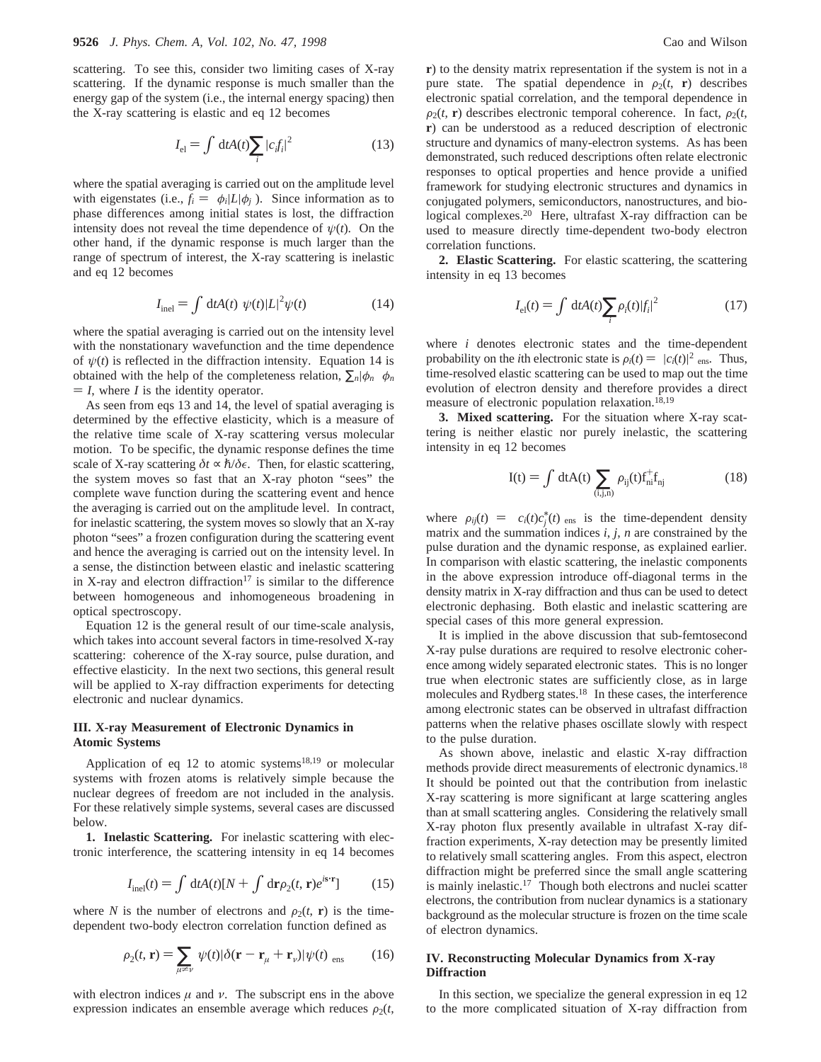scattering. To see this, consider two limiting cases of X-ray scattering. If the dynamic response is much smaller than the energy gap of the system (i.e., the internal energy spacing) then the X-ray scattering is elastic and eq 12 becomes

$$
I_{\rm el} = \int \mathrm{d}t A(t) \sum_{i} |c_i f_i|^2 \tag{13}
$$

where the spatial averaging is carried out on the amplitude level with eigenstates (i.e.,  $f_i = \langle \phi_i | L | \phi_j \rangle$ ). Since information as to phase differences among initial states is lost, the diffraction intensity does not reveal the time dependence of  $\psi(t)$ . On the other hand, if the dynamic response is much larger than the range of spectrum of interest, the X-ray scattering is inelastic and eq 12 becomes

$$
I_{\text{inel}} = \int \mathrm{d}t A(t) \langle \psi(t) | L|^2 \psi(t) \rangle \tag{14}
$$

where the spatial averaging is carried out on the intensity level with the nonstationary wavefunction and the time dependence of  $\psi(t)$  is reflected in the diffraction intensity. Equation 14 is obtained with the help of the completeness relation,  $\sum_{n} |\phi_n\rangle\langle\phi_n|$  $=$  *I*, where *I* is the identity operator.

As seen from eqs 13 and 14, the level of spatial averaging is determined by the effective elasticity, which is a measure of the relative time scale of X-ray scattering versus molecular motion. To be specific, the dynamic response defines the time scale of X-ray scattering  $\delta t \propto \hbar/\delta \epsilon$ . Then, for elastic scattering, the system moves so fast that an X-ray photon "sees" the complete wave function during the scattering event and hence the averaging is carried out on the amplitude level. In contract, for inelastic scattering, the system moves so slowly that an X-ray photon "sees" a frozen configuration during the scattering event and hence the averaging is carried out on the intensity level. In a sense, the distinction between elastic and inelastic scattering in X-ray and electron diffraction<sup>17</sup> is similar to the difference between homogeneous and inhomogeneous broadening in optical spectroscopy.

Equation 12 is the general result of our time-scale analysis, which takes into account several factors in time-resolved X-ray scattering: coherence of the X-ray source, pulse duration, and effective elasticity. In the next two sections, this general result will be applied to X-ray diffraction experiments for detecting electronic and nuclear dynamics.

## **III. X-ray Measurement of Electronic Dynamics in Atomic Systems**

Application of eq 12 to atomic systems<sup>18,19</sup> or molecular systems with frozen atoms is relatively simple because the nuclear degrees of freedom are not included in the analysis. For these relatively simple systems, several cases are discussed below.

**1. Inelastic Scattering.** For inelastic scattering with electronic interference, the scattering intensity in eq 14 becomes

$$
I_{\text{inel}}(t) = \int \mathrm{d}t A(t) [N + \int \mathrm{d}\mathbf{r} \rho_2(t, \mathbf{r}) e^{i\mathbf{s} \cdot \mathbf{r}}] \tag{15}
$$

where *N* is the number of electrons and  $\rho_2(t, r)$  is the timedependent two-body electron correlation function defined as

$$
\rho_2(t, \mathbf{r}) = \sum_{\mu \neq \nu} \langle \psi(t) | \delta(\mathbf{r} - \mathbf{r}_{\mu} + \mathbf{r}_{\nu}) | \psi(t) \rangle_{\text{ens}} \qquad (16)
$$

with electron indices  $\mu$  and  $\nu$ . The subscript ens in the above expression indicates an ensemble average which reduces  $\rho_2(t)$ , **r**) to the density matrix representation if the system is not in a pure state. The spatial dependence in  $\rho_2(t, r)$  describes electronic spatial correlation, and the temporal dependence in  $\rho_2(t, r)$  describes electronic temporal coherence. In fact,  $\rho_2(t, r)$ **r**) can be understood as a reduced description of electronic structure and dynamics of many-electron systems. As has been demonstrated, such reduced descriptions often relate electronic responses to optical properties and hence provide a unified framework for studying electronic structures and dynamics in conjugated polymers, semiconductors, nanostructures, and biological complexes.20 Here, ultrafast X-ray diffraction can be used to measure directly time-dependent two-body electron correlation functions.

**2. Elastic Scattering.** For elastic scattering, the scattering intensity in eq 13 becomes

$$
I_{\rm el}(t) = \int \mathrm{d}t A(t) \sum_i \rho_i(t) |f_i|^2 \tag{17}
$$

where *i* denotes electronic states and the time-dependent probability on the *i*th electronic state is  $\rho_i(t) = \langle |c_i(t)|^2 \rangle_{\text{ens}}$ . Thus, time-resolved elastic scattering can be used to man out the time time-resolved elastic scattering can be used to map out the time evolution of electron density and therefore provides a direct measure of electronic population relaxation.18,19

**3. Mixed scattering.** For the situation where X-ray scattering is neither elastic nor purely inelastic, the scattering intensity in eq 12 becomes

$$
I(t) = \int dt A(t) \sum_{(i,j,n)} \rho_{ij}(t) f_{ni}^{+} f_{nj}
$$
 (18)

where  $\rho_{ij}(t) = \langle c_i(t) c_j^*(t) \rangle_{\text{ens}}$  is the time-dependent density matrix and the summation indices *i i n* are constrained by the matrix and the summation indices *i*, *j*, *n* are constrained by the pulse duration and the dynamic response, as explained earlier. In comparison with elastic scattering, the inelastic components in the above expression introduce off-diagonal terms in the density matrix in X-ray diffraction and thus can be used to detect electronic dephasing. Both elastic and inelastic scattering are special cases of this more general expression.

It is implied in the above discussion that sub-femtosecond X-ray pulse durations are required to resolve electronic coherence among widely separated electronic states. This is no longer true when electronic states are sufficiently close, as in large molecules and Rydberg states.<sup>18</sup> In these cases, the interference among electronic states can be observed in ultrafast diffraction patterns when the relative phases oscillate slowly with respect to the pulse duration.

As shown above, inelastic and elastic X-ray diffraction methods provide direct measurements of electronic dynamics.18 It should be pointed out that the contribution from inelastic X-ray scattering is more significant at large scattering angles than at small scattering angles. Considering the relatively small X-ray photon flux presently available in ultrafast X-ray diffraction experiments, X-ray detection may be presently limited to relatively small scattering angles. From this aspect, electron diffraction might be preferred since the small angle scattering is mainly inelastic.<sup>17</sup> Though both electrons and nuclei scatter electrons, the contribution from nuclear dynamics is a stationary background as the molecular structure is frozen on the time scale of electron dynamics.

## **IV. Reconstructing Molecular Dynamics from X-ray Diffraction**

In this section, we specialize the general expression in eq 12 to the more complicated situation of X-ray diffraction from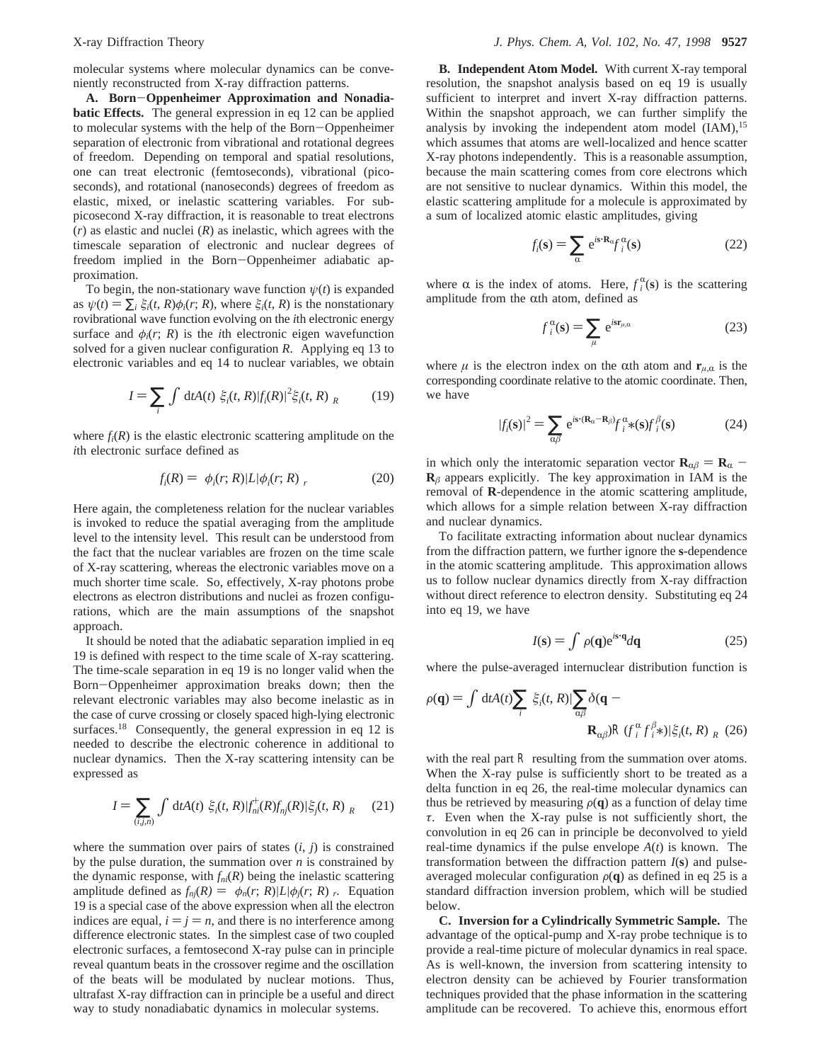molecular systems where molecular dynamics can be conveniently reconstructed from X-ray diffraction patterns.

**A. Born**-**Oppenheimer Approximation and Nonadiabatic Effects.** The general expression in eq 12 can be applied to molecular systems with the help of the Born-Oppenheimer separation of electronic from vibrational and rotational degrees of freedom. Depending on temporal and spatial resolutions, one can treat electronic (femtoseconds), vibrational (picoseconds), and rotational (nanoseconds) degrees of freedom as elastic, mixed, or inelastic scattering variables. For subpicosecond X-ray diffraction, it is reasonable to treat electrons (*r*) as elastic and nuclei (*R*) as inelastic, which agrees with the timescale separation of electronic and nuclear degrees of freedom implied in the Born-Oppenheimer adiabatic approximation.

To begin, the non-stationary wave function  $\psi(t)$  is expanded as  $\psi(t) = \sum_i \xi_i(t, R)\phi_i(r; R)$ , where  $\xi_i(t, R)$  is the nonstationary rovibrational wave function evolving on the *i*th electronic energy surface and  $\phi_i(r; R)$  is the *i*th electronic eigen wavefunction solved for a given nuclear configuration *R*. Applying eq 13 to electronic variables and eq 14 to nuclear variables, we obtain

$$
I = \sum_{i} \int \mathrm{d}t A(t) \langle \xi_i(t, R) | f_i(R) |^2 \xi_i(t, R) \rangle_R \tag{19}
$$

where  $f_i(R)$  is the elastic electronic scattering amplitude on the *i*th electronic surface defined as

$$
f_i(R) = \langle \phi_i(r; R) | L | \phi_i(r; R) \rangle_r \tag{20}
$$

Here again, the completeness relation for the nuclear variables is invoked to reduce the spatial averaging from the amplitude level to the intensity level. This result can be understood from the fact that the nuclear variables are frozen on the time scale of X-ray scattering, whereas the electronic variables move on a much shorter time scale. So, effectively, X-ray photons probe electrons as electron distributions and nuclei as frozen configurations, which are the main assumptions of the snapshot approach.

It should be noted that the adiabatic separation implied in eq 19 is defined with respect to the time scale of X-ray scattering. The time-scale separation in eq 19 is no longer valid when the Born-Oppenheimer approximation breaks down; then the relevant electronic variables may also become inelastic as in the case of curve crossing or closely spaced high-lying electronic surfaces.<sup>18</sup> Consequently, the general expression in eq 12 is needed to describe the electronic coherence in additional to nuclear dynamics. Then the X-ray scattering intensity can be expressed as

$$
I = \sum_{(i,j,n)} \int \mathrm{d}t A(t) \langle \xi_i(t,R) | f_{ni}^+(R) f_{nj}(R) | \xi_j(t,R) \rangle_R \tag{21}
$$

where the summation over pairs of states  $(i, j)$  is constrained by the pulse duration, the summation over  $n$  is constrained by the dynamic response, with  $f_{ni}(R)$  being the inelastic scattering amplitude defined as  $f_{nj}(R) = \langle \phi_n(r; R) | L | \phi_j(r; R) \rangle_r$ . Equation 19 is a special case of the above expression when all the electron indices are equal,  $i = j = n$ , and there is no interference among difference electronic states. In the simplest case of two coupled electronic surfaces, a femtosecond X-ray pulse can in principle reveal quantum beats in the crossover regime and the oscillation of the beats will be modulated by nuclear motions. Thus, ultrafast X-ray diffraction can in principle be a useful and direct way to study nonadiabatic dynamics in molecular systems.

**B. Independent Atom Model.** With current X-ray temporal resolution, the snapshot analysis based on eq 19 is usually sufficient to interpret and invert X-ray diffraction patterns. Within the snapshot approach, we can further simplify the analysis by invoking the independent atom model  $(IAM)$ ,  $^{15}$ which assumes that atoms are well-localized and hence scatter X-ray photons independently. This is a reasonable assumption, because the main scattering comes from core electrons which are not sensitive to nuclear dynamics. Within this model, the elastic scattering amplitude for a molecule is approximated by a sum of localized atomic elastic amplitudes, giving

$$
f_i(\mathbf{s}) = \sum_{\alpha} e^{i\mathbf{s} \cdot \mathbf{R}_{\alpha}} f_i^{\alpha}(\mathbf{s})
$$
 (22)

where  $\alpha$  is the index of atoms. Here,  $f_i^{\alpha}$ (s) is the scattering amplitude from the oth atom defined as amplitude from the  $\alpha$ th atom, defined as

$$
f_i^{\alpha}(\mathbf{s}) = \sum_{\mu} e^{i s \mathbf{r}_{\mu, \alpha}} \tag{23}
$$

where  $\mu$  is the electron index on the  $\alpha$ th atom and  $\mathbf{r}_{\mu,\alpha}$  is the corresponding coordinate relative to the atomic coordinate. Then, we have

$$
|f_i(\mathbf{s})|^2 = \sum_{\alpha\beta} e^{i\mathbf{s}\cdot(\mathbf{R}_{\alpha}-\mathbf{R}_{\beta})} f_i^{\alpha}*(\mathbf{s}) f_i^{\beta}(\mathbf{s})
$$
 (24)

in which only the interatomic separation vector  $\mathbf{R}_{\alpha\beta} = \mathbf{R}_{\alpha}$  – **R***<sup>â</sup>* appears explicitly. The key approximation in IAM is the removal of **R**-dependence in the atomic scattering amplitude, which allows for a simple relation between X-ray diffraction and nuclear dynamics.

To facilitate extracting information about nuclear dynamics from the diffraction pattern, we further ignore the **s**-dependence in the atomic scattering amplitude. This approximation allows us to follow nuclear dynamics directly from X-ray diffraction without direct reference to electron density. Substituting eq 24 into eq 19, we have

$$
I(\mathbf{s}) = \int \rho(\mathbf{q}) e^{i\mathbf{s} \cdot \mathbf{q}} d\mathbf{q}
$$
 (25)

where the pulse-averaged internuclear distribution function is

$$
\rho(\mathbf{q}) = \int dt A(t) \sum_{i} \langle \xi_i(t, R) | \sum_{\alpha \beta} \delta(\mathbf{q} - \mathbf{R}_{\alpha \beta}) \mathcal{A} f_i^{\alpha} f_j^{\beta} * \rangle | \xi_i(t, R) \rangle_R
$$
 (26)

with the real part *R* resulting from the summation over atoms. When the X-ray pulse is sufficiently short to be treated as a delta function in eq 26, the real-time molecular dynamics can thus be retrieved by measuring  $\rho(q)$  as a function of delay time *τ*. Even when the X-ray pulse is not sufficiently short, the convolution in eq 26 can in principle be deconvolved to yield real-time dynamics if the pulse envelope  $A(t)$  is known. The transformation between the diffraction pattern *I*(**s**) and pulseaveraged molecular configuration  $\rho(q)$  as defined in eq 25 is a standard diffraction inversion problem, which will be studied below.

**C. Inversion for a Cylindrically Symmetric Sample.** The advantage of the optical-pump and X-ray probe technique is to provide a real-time picture of molecular dynamics in real space. As is well-known, the inversion from scattering intensity to electron density can be achieved by Fourier transformation techniques provided that the phase information in the scattering amplitude can be recovered. To achieve this, enormous effort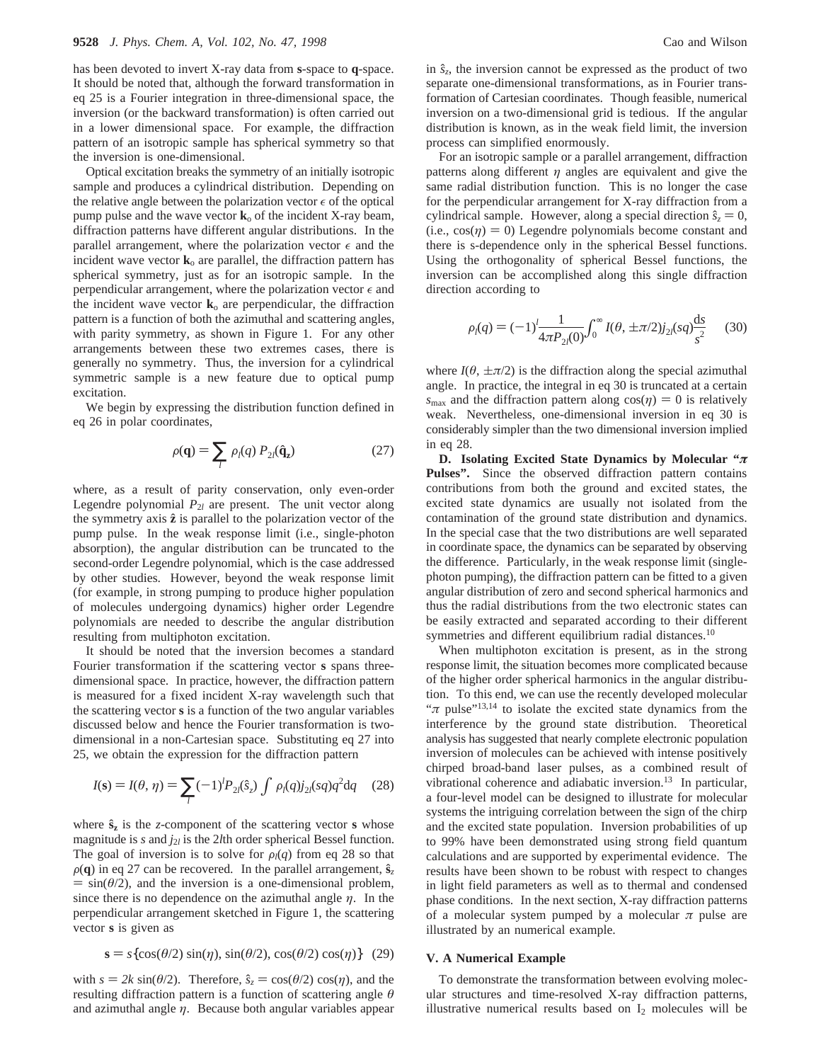has been devoted to invert X-ray data from **s**-space to **q**-space. It should be noted that, although the forward transformation in eq 25 is a Fourier integration in three-dimensional space, the inversion (or the backward transformation) is often carried out in a lower dimensional space. For example, the diffraction pattern of an isotropic sample has spherical symmetry so that the inversion is one-dimensional.

Optical excitation breaks the symmetry of an initially isotropic sample and produces a cylindrical distribution. Depending on the relative angle between the polarization vector  $\epsilon$  of the optical pump pulse and the wave vector  $\mathbf{k}_{0}$  of the incident X-ray beam, diffraction patterns have different angular distributions. In the parallel arrangement, where the polarization vector  $\epsilon$  and the incident wave vector  $\mathbf{k}_0$  are parallel, the diffraction pattern has spherical symmetry, just as for an isotropic sample. In the perpendicular arrangement, where the polarization vector  $\epsilon$  and the incident wave vector  $\mathbf{k}_0$  are perpendicular, the diffraction pattern is a function of both the azimuthal and scattering angles, with parity symmetry, as shown in Figure 1. For any other arrangements between these two extremes cases, there is generally no symmetry. Thus, the inversion for a cylindrical symmetric sample is a new feature due to optical pump excitation.

We begin by expressing the distribution function defined in eq 26 in polar coordinates,

$$
\rho(\mathbf{q}) = \sum_{l} \rho_l(q) P_{2l}(\hat{\mathbf{q}}_z)
$$
 (27)

where, as a result of parity conservation, only even-order Legendre polynomial  $P_{2l}$  are present. The unit vector along the symmetry axis  $\hat{z}$  is parallel to the polarization vector of the pump pulse. In the weak response limit (i.e., single-photon absorption), the angular distribution can be truncated to the second-order Legendre polynomial, which is the case addressed by other studies. However, beyond the weak response limit (for example, in strong pumping to produce higher population of molecules undergoing dynamics) higher order Legendre polynomials are needed to describe the angular distribution resulting from multiphoton excitation.

It should be noted that the inversion becomes a standard Fourier transformation if the scattering vector **s** spans threedimensional space. In practice, however, the diffraction pattern is measured for a fixed incident X-ray wavelength such that the scattering vector **s** is a function of the two angular variables discussed below and hence the Fourier transformation is twodimensional in a non-Cartesian space. Substituting eq 27 into 25, we obtain the expression for the diffraction pattern

$$
I(\mathbf{s}) = I(\theta, \eta) = \sum_{l} (-1)^{l} P_{2l}(\hat{\mathbf{s}}_{z}) \int \rho_{l}(q) j_{2l}(sq) q^{2} dq \quad (28)
$$

where  $\hat{\mathbf{s}}_z$  is the *z*-component of the scattering vector **s** whose magnitude is *s* and *j*<sup>2</sup>*<sup>l</sup>* is the 2*l*th order spherical Bessel function. The goal of inversion is to solve for  $\rho_l(q)$  from eq 28 so that  $\rho(\mathbf{q})$  in eq 27 can be recovered. In the parallel arrangement,  $\hat{\mathbf{s}}_z$  $=$  sin( $\theta$ /2), and the inversion is a one-dimensional problem, since there is no dependence on the azimuthal angle *η*. In the perpendicular arrangement sketched in Figure 1, the scattering vector **s** is given as

$$
\mathbf{s} = s\{\cos(\theta/2)\sin(\eta), \sin(\theta/2), \cos(\theta/2)\cos(\eta)\} \tag{29}
$$

with  $s = 2k \sin(\theta/2)$ . Therefore,  $\hat{s}_z = \cos(\theta/2) \cos(\eta)$ , and the resulting diffraction pattern is a function of scattering angle *θ* and azimuthal angle *η*. Because both angular variables appear in  $\hat{s}_z$ , the inversion cannot be expressed as the product of two separate one-dimensional transformations, as in Fourier transformation of Cartesian coordinates. Though feasible, numerical inversion on a two-dimensional grid is tedious. If the angular distribution is known, as in the weak field limit, the inversion process can simplified enormously.

For an isotropic sample or a parallel arrangement, diffraction patterns along different *η* angles are equivalent and give the same radial distribution function. This is no longer the case for the perpendicular arrangement for X-ray diffraction from a cylindrical sample. However, along a special direction  $\hat{s}_z = 0$ , (i.e.,  $cos(\eta) = 0$ ) Legendre polynomials become constant and there is s-dependence only in the spherical Bessel functions. Using the orthogonality of spherical Bessel functions, the inversion can be accomplished along this single diffraction direction according to

$$
\rho_l(q) = (-1)^l \frac{1}{4\pi P_{2l}(0)} \int_0^\infty I(\theta, \pm \pi/2) j_{2l}(sq) \frac{ds}{s^2}
$$
 (30)

where  $I(\theta, \pm \pi/2)$  is the diffraction along the special azimuthal angle. In practice, the integral in eq 30 is truncated at a certain  $s_{\text{max}}$  and the diffraction pattern along  $\cos(\eta) = 0$  is relatively weak. Nevertheless, one-dimensional inversion in eq 30 is considerably simpler than the two dimensional inversion implied in eq 28.

**D. Isolating Excited State Dynamics by Molecular "***π* **Pulses".** Since the observed diffraction pattern contains contributions from both the ground and excited states, the excited state dynamics are usually not isolated from the contamination of the ground state distribution and dynamics. In the special case that the two distributions are well separated in coordinate space, the dynamics can be separated by observing the difference. Particularly, in the weak response limit (singlephoton pumping), the diffraction pattern can be fitted to a given angular distribution of zero and second spherical harmonics and thus the radial distributions from the two electronic states can be easily extracted and separated according to their different symmetries and different equilibrium radial distances.<sup>10</sup>

When multiphoton excitation is present, as in the strong response limit, the situation becomes more complicated because of the higher order spherical harmonics in the angular distribution. To this end, we can use the recently developed molecular " $\pi$  pulse"<sup>13,14</sup> to isolate the excited state dynamics from the interference by the ground state distribution. Theoretical analysis has suggested that nearly complete electronic population inversion of molecules can be achieved with intense positively chirped broad-band laser pulses, as a combined result of vibrational coherence and adiabatic inversion.13 In particular, a four-level model can be designed to illustrate for molecular systems the intriguing correlation between the sign of the chirp and the excited state population. Inversion probabilities of up to 99% have been demonstrated using strong field quantum calculations and are supported by experimental evidence. The results have been shown to be robust with respect to changes in light field parameters as well as to thermal and condensed phase conditions. In the next section, X-ray diffraction patterns of a molecular system pumped by a molecular  $\pi$  pulse are illustrated by an numerical example.

## **V. A Numerical Example**

To demonstrate the transformation between evolving molecular structures and time-resolved X-ray diffraction patterns, illustrative numerical results based on  $I_2$  molecules will be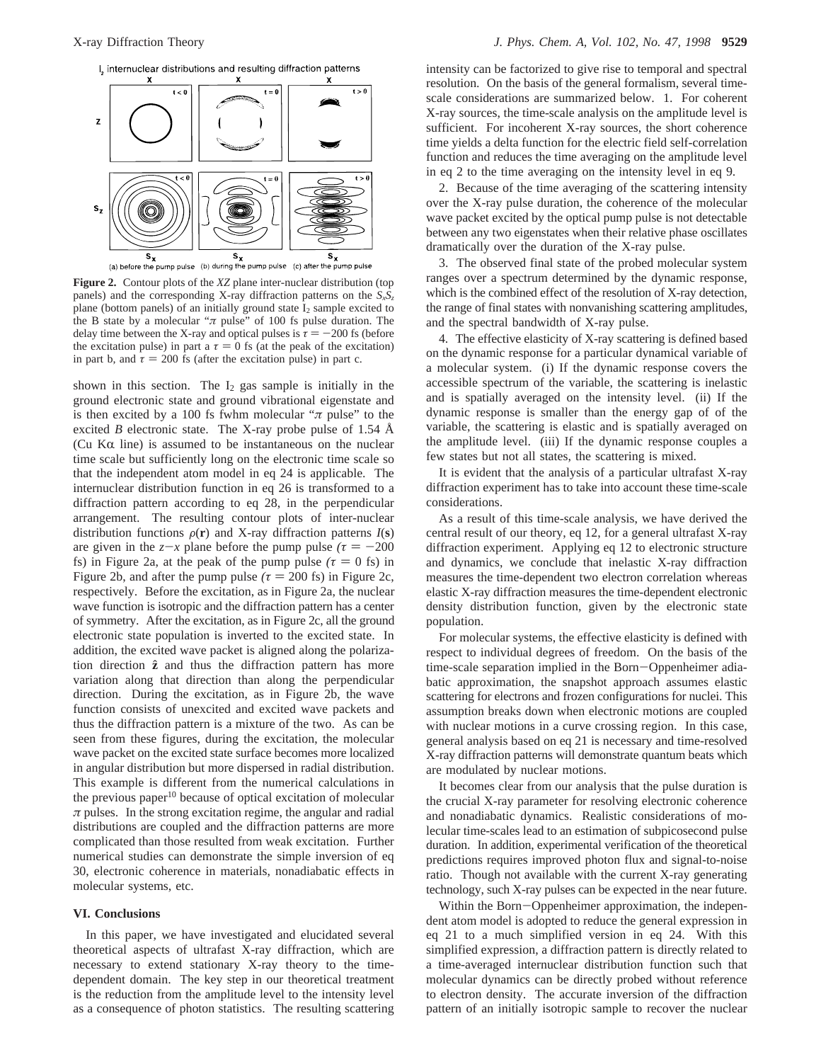

**Figure 2.** Contour plots of the *XZ* plane inter-nuclear distribution (top panels) and the corresponding X-ray diffraction patterns on the  $S_xS_z$ plane (bottom panels) of an initially ground state  $I_2$  sample excited to the B state by a molecular "*π* pulse" of 100 fs pulse duration. The

delay time between the X-ray and optical pulses is  $\tau = -200$  fs (before the excitation pulse) in part a  $\tau = 0$  fs (at the peak of the excitation) in part b, and  $\tau = 200$  fs (after the excitation pulse) in part c.

shown in this section. The  $I_2$  gas sample is initially in the ground electronic state and ground vibrational eigenstate and is then excited by a 100 fs fwhm molecular " $\pi$  pulse" to the excited *B* electronic state. The X-ray probe pulse of 1.54  $\AA$ (Cu K $\alpha$  line) is assumed to be instantaneous on the nuclear time scale but sufficiently long on the electronic time scale so that the independent atom model in eq 24 is applicable. The internuclear distribution function in eq 26 is transformed to a diffraction pattern according to eq 28, in the perpendicular arrangement. The resulting contour plots of inter-nuclear distribution functions  $\rho(\mathbf{r})$  and X-ray diffraction patterns  $I(\mathbf{s})$ are given in the  $z-x$  plane before the pump pulse  $(\tau = -200)$ fs) in Figure 2a, at the peak of the pump pulse  $(\tau = 0 \text{ fs})$  in Figure 2b, and after the pump pulse  $(\tau = 200 \text{ fs})$  in Figure 2c, respectively. Before the excitation, as in Figure 2a, the nuclear wave function is isotropic and the diffraction pattern has a center of symmetry. After the excitation, as in Figure 2c, all the ground electronic state population is inverted to the excited state. In addition, the excited wave packet is aligned along the polarization direction  $\hat{z}$  and thus the diffraction pattern has more variation along that direction than along the perpendicular direction. During the excitation, as in Figure 2b, the wave function consists of unexcited and excited wave packets and thus the diffraction pattern is a mixture of the two. As can be seen from these figures, during the excitation, the molecular wave packet on the excited state surface becomes more localized in angular distribution but more dispersed in radial distribution. This example is different from the numerical calculations in the previous paper<sup>10</sup> because of optical excitation of molecular  $\pi$  pulses. In the strong excitation regime, the angular and radial distributions are coupled and the diffraction patterns are more complicated than those resulted from weak excitation. Further numerical studies can demonstrate the simple inversion of eq 30, electronic coherence in materials, nonadiabatic effects in molecular systems, etc.

### **VI. Conclusions**

In this paper, we have investigated and elucidated several theoretical aspects of ultrafast X-ray diffraction, which are necessary to extend stationary X-ray theory to the timedependent domain. The key step in our theoretical treatment is the reduction from the amplitude level to the intensity level as a consequence of photon statistics. The resulting scattering intensity can be factorized to give rise to temporal and spectral resolution. On the basis of the general formalism, several timescale considerations are summarized below. 1. For coherent X-ray sources, the time-scale analysis on the amplitude level is sufficient. For incoherent X-ray sources, the short coherence time yields a delta function for the electric field self-correlation function and reduces the time averaging on the amplitude level in eq 2 to the time averaging on the intensity level in eq 9.

2. Because of the time averaging of the scattering intensity over the X-ray pulse duration, the coherence of the molecular wave packet excited by the optical pump pulse is not detectable between any two eigenstates when their relative phase oscillates dramatically over the duration of the X-ray pulse.

3. The observed final state of the probed molecular system ranges over a spectrum determined by the dynamic response, which is the combined effect of the resolution of X-ray detection, the range of final states with nonvanishing scattering amplitudes, and the spectral bandwidth of X-ray pulse.

4. The effective elasticity of X-ray scattering is defined based on the dynamic response for a particular dynamical variable of a molecular system. (i) If the dynamic response covers the accessible spectrum of the variable, the scattering is inelastic and is spatially averaged on the intensity level. (ii) If the dynamic response is smaller than the energy gap of of the variable, the scattering is elastic and is spatially averaged on the amplitude level. (iii) If the dynamic response couples a few states but not all states, the scattering is mixed.

It is evident that the analysis of a particular ultrafast X-ray diffraction experiment has to take into account these time-scale considerations.

As a result of this time-scale analysis, we have derived the central result of our theory, eq 12, for a general ultrafast X-ray diffraction experiment. Applying eq 12 to electronic structure and dynamics, we conclude that inelastic X-ray diffraction measures the time-dependent two electron correlation whereas elastic X-ray diffraction measures the time-dependent electronic density distribution function, given by the electronic state population.

For molecular systems, the effective elasticity is defined with respect to individual degrees of freedom. On the basis of the time-scale separation implied in the Born-Oppenheimer adiabatic approximation, the snapshot approach assumes elastic scattering for electrons and frozen configurations for nuclei. This assumption breaks down when electronic motions are coupled with nuclear motions in a curve crossing region. In this case, general analysis based on eq 21 is necessary and time-resolved X-ray diffraction patterns will demonstrate quantum beats which are modulated by nuclear motions.

It becomes clear from our analysis that the pulse duration is the crucial X-ray parameter for resolving electronic coherence and nonadiabatic dynamics. Realistic considerations of molecular time-scales lead to an estimation of subpicosecond pulse duration. In addition, experimental verification of the theoretical predictions requires improved photon flux and signal-to-noise ratio. Though not available with the current X-ray generating technology, such X-ray pulses can be expected in the near future.

Within the Born-Oppenheimer approximation, the independent atom model is adopted to reduce the general expression in eq 21 to a much simplified version in eq 24. With this simplified expression, a diffraction pattern is directly related to a time-averaged internuclear distribution function such that molecular dynamics can be directly probed without reference to electron density. The accurate inversion of the diffraction pattern of an initially isotropic sample to recover the nuclear